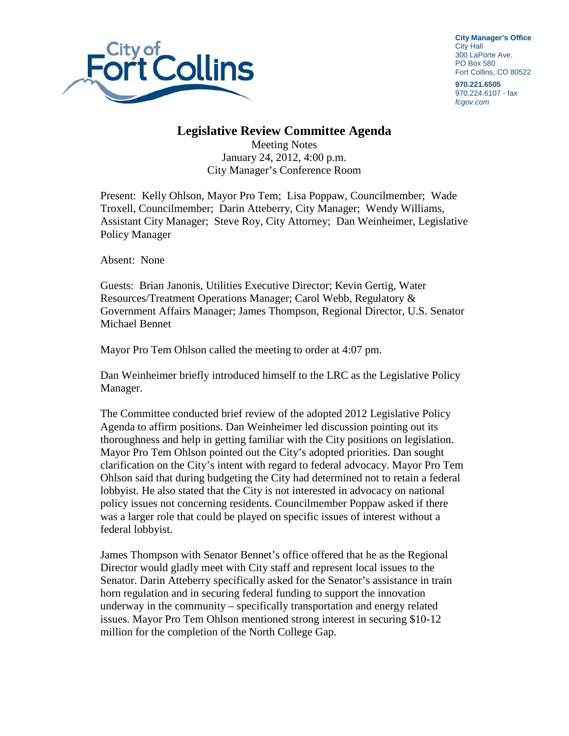

**City Manager's Office** City Hall 300 LaPorte Ave. PO Box 580 Fort Collins, CO 80522

**970.221.6505**  970.224.6107 - fax fcgov.com

## **Legislative Review Committee Agenda**

Meeting Notes January 24, 2012, 4:00 p.m. City Manager's Conference Room

Present: Kelly Ohlson, Mayor Pro Tem; Lisa Poppaw, Councilmember; Wade Troxell, Councilmember; Darin Atteberry, City Manager; Wendy Williams, Assistant City Manager; Steve Roy, City Attorney; Dan Weinheimer, Legislative Policy Manager

Absent: None

Guests: Brian Janonis, Utilities Executive Director; Kevin Gertig, Water Resources/Treatment Operations Manager; Carol Webb, Regulatory & Government Affairs Manager; James Thompson, Regional Director, U.S. Senator Michael Bennet

Mayor Pro Tem Ohlson called the meeting to order at 4:07 pm.

Dan Weinheimer briefly introduced himself to the LRC as the Legislative Policy Manager.

The Committee conducted brief review of the adopted 2012 Legislative Policy Agenda to affirm positions. Dan Weinheimer led discussion pointing out its thoroughness and help in getting familiar with the City positions on legislation. Mayor Pro Tem Ohlson pointed out the City's adopted priorities. Dan sought clarification on the City's intent with regard to federal advocacy. Mayor Pro Tem Ohlson said that during budgeting the City had determined not to retain a federal lobbyist. He also stated that the City is not interested in advocacy on national policy issues not concerning residents. Councilmember Poppaw asked if there was a larger role that could be played on specific issues of interest without a federal lobbyist.

James Thompson with Senator Bennet's office offered that he as the Regional Director would gladly meet with City staff and represent local issues to the Senator. Darin Atteberry specifically asked for the Senator's assistance in train horn regulation and in securing federal funding to support the innovation underway in the community – specifically transportation and energy related issues. Mayor Pro Tem Ohlson mentioned strong interest in securing \$10-12 million for the completion of the North College Gap.